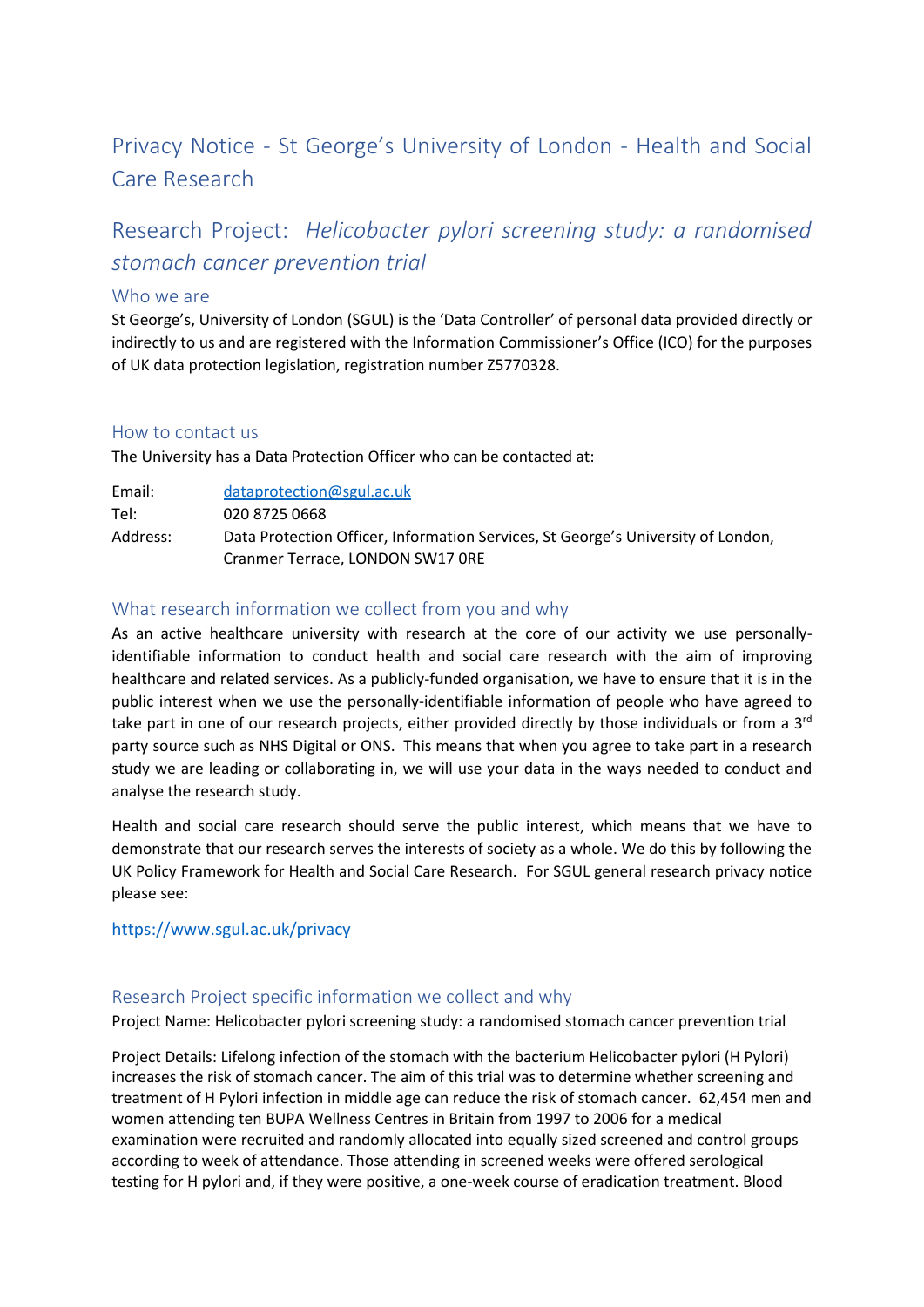# Privacy Notice - St George's University of London - Health and Social Care Research

# Research Project: *Helicobacter pylori screening study: a randomised stomach cancer prevention trial*

#### Who we are

St George's, University of London (SGUL) is the 'Data Controller' of personal data provided directly or indirectly to us and are registered with the Information Commissioner's Office (ICO) for the purposes of UK data protection legislation, registration number Z5770328.

#### How to contact us

The University has a Data Protection Officer who can be contacted at:

| Email:   | data protection@sgul.ac.uk                                                       |
|----------|----------------------------------------------------------------------------------|
| Tel:     | 020 8725 0668                                                                    |
| Address: | Data Protection Officer, Information Services, St George's University of London, |
|          | Cranmer Terrace, LONDON SW17 ORE                                                 |

# What research information we collect from you and why

As an active healthcare university with research at the core of our activity we use personallyidentifiable information to conduct health and social care research with the aim of improving healthcare and related services. As a publicly-funded organisation, we have to ensure that it is in the public interest when we use the personally-identifiable information of people who have agreed to take part in one of our research projects, either provided directly by those individuals or from a 3<sup>rd</sup> party source such as NHS Digital or ONS. This means that when you agree to take part in a research study we are leading or collaborating in, we will use your data in the ways needed to conduct and analyse the research study.

Health and social care research should serve the public interest, which means that we have to demonstrate that our research serves the interests of society as a whole. We do this by following the UK Policy Framework for Health and Social Care Research. For SGUL general research privacy notice please see:

#### <https://www.sgul.ac.uk/privacy>

## Research Project specific information we collect and why

Project Name: Helicobacter pylori screening study: a randomised stomach cancer prevention trial

Project Details: Lifelong infection of the stomach with the bacterium Helicobacter pylori (H Pylori) increases the risk of stomach cancer. The aim of this trial was to determine whether screening and treatment of H Pylori infection in middle age can reduce the risk of stomach cancer. 62,454 men and women attending ten BUPA Wellness Centres in Britain from 1997 to 2006 for a medical examination were recruited and randomly allocated into equally sized screened and control groups according to week of attendance. Those attending in screened weeks were offered serological testing for H pylori and, if they were positive, a one-week course of eradication treatment. Blood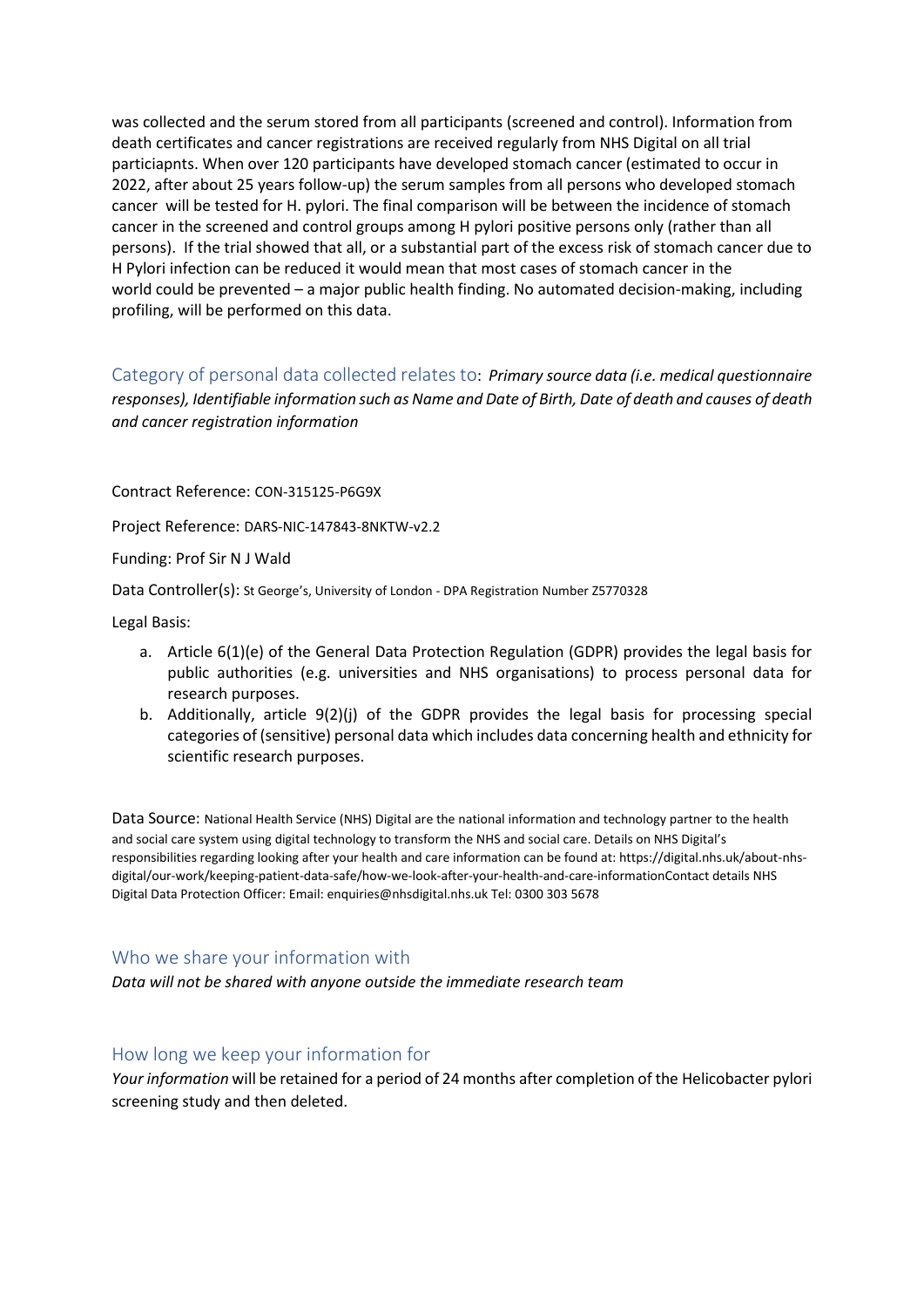was collected and the serum stored from all participants (screened and control). Information from death certificates and cancer registrations are received regularly from NHS Digital on all trial particiapnts. When over 120 participants have developed stomach cancer (estimated to occur in 2022, after about 25 years follow-up) the serum samples from all persons who developed stomach cancer will be tested for H. pylori. The final comparison will be between the incidence of stomach cancer in the screened and control groups among H pylori positive persons only (rather than all persons). If the trial showed that all, or a substantial part of the excess risk of stomach cancer due to H Pylori infection can be reduced it would mean that most cases of stomach cancer in the world could be prevented – a major public health finding. No automated decision-making, including profiling, will be performed on this data.

Category of personal data collected relates to: *Primary source data (i.e. medical questionnaire responses), Identifiable information such as Name and Date of Birth, Date of death and causes of death and cancer registration information*

Contract Reference: CON-315125-P6G9X

Project Reference: DARS-NIC-147843-8NKTW-v2.2

Funding: Prof Sir N J Wald

Data Controller(s): St George's, University of London - DPA Registration Number Z5770328

Legal Basis:

- a. Article 6(1)(e) of the General Data Protection Regulation (GDPR) provides the legal basis for public authorities (e.g. universities and NHS organisations) to process personal data for research purposes.
- b. Additionally, article 9(2)(j) of the GDPR provides the legal basis for processing special categories of (sensitive) personal data which includes data concerning health and ethnicity for scientific research purposes.

Data Source: National Health Service (NHS) Digital are the national information and technology partner to the health and social care system using digital technology to transform the NHS and social care. Details on NHS Digital's responsibilities regarding looking after your health and care information can be found at: https://digital.nhs.uk/about-nhsdigital/our-work/keeping-patient-data-safe/how-we-look-after-your-health-and-care-informationContact details NHS Digital Data Protection Officer: Email: enquiries@nhsdigital.nhs.uk Tel: 0300 303 5678

## Who we share your information with

*Data will not be shared with anyone outside the immediate research team*

## How long we keep your information for

*Your information* will be retained for a period of 24 months after completion of the Helicobacter pylori screening study and then deleted.